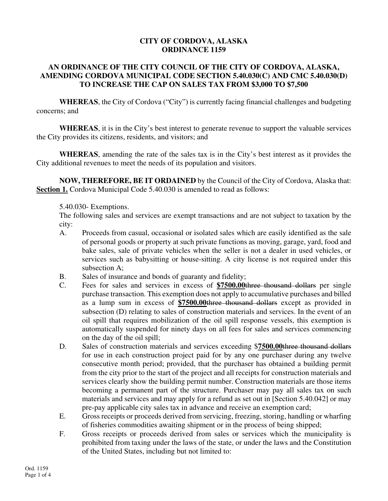## **CITY OF CORDOVA, ALASKA ORDINANCE 1159**

## **AN ORDINANCE OF THE CITY COUNCIL OF THE CITY OF CORDOVA, ALASKA, AMENDING CORDOVA MUNICIPAL CODE SECTION 5.40.030(C) AND CMC 5.40.030(D) TO INCREASE THE CAP ON SALES TAX FROM \$3,000 TO \$7,500**

**WHEREAS**, the City of Cordova ("City") is currently facing financial challenges and budgeting concerns; and

**WHEREAS**, it is in the City's best interest to generate revenue to support the valuable services the City provides its citizens, residents, and visitors; and

**WHEREAS**, amending the rate of the sales tax is in the City's best interest as it provides the City additional revenues to meet the needs of its population and visitors.

**NOW, THEREFORE, BE IT ORDAINED** by the Council of the City of Cordova, Alaska that: **Section 1.** Cordova Municipal Code 5.40.030 is amended to read as follows:

## 5.40.030- Exemptions.

The following sales and services are exempt transactions and are not subject to taxation by the city:

- A. Proceeds from casual, occasional or isolated sales which are easily identified as the sale of personal goods or property at such private functions as moving, garage, yard, food and bake sales, sale of private vehicles when the seller is not a dealer in used vehicles, or services such as babysitting or house-sitting. A city license is not required under this subsection A;
- B. Sales of insurance and bonds of guaranty and fidelity;
- C. Fees for sales and services in excess of **\$7500.00**three thousand dollars per single purchase transaction. This exemption does not apply to accumulative purchases and billed as a lump sum in excess of **\$7500.00**three thousand dollars except as provided in subsection (D) relating to sales of construction materials and services. In the event of an oil spill that requires mobilization of the oil spill response vessels, this exemption is automatically suspended for ninety days on all fees for sales and services commencing on the day of the oil spill;
- D. Sales of construction materials and services exceeding \$**7500.00**three thousand dollars for use in each construction project paid for by any one purchaser during any twelve consecutive month period; provided, that the purchaser has obtained a building permit from the city prior to the start of the project and all receipts for construction materials and services clearly show the building permit number. Construction materials are those items becoming a permanent part of the structure. Purchaser may pay all sales tax on such materials and services and may apply for a refund as set out in [Section 5.40.042] or may pre-pay applicable city sales tax in advance and receive an exemption card;
- E. Gross receipts or proceeds derived from servicing, freezing, storing, handling or wharfing of fisheries commodities awaiting shipment or in the process of being shipped;
- F. Gross receipts or proceeds derived from sales or services which the municipality is prohibited from taxing under the laws of the state, or under the laws and the Constitution of the United States, including but not limited to: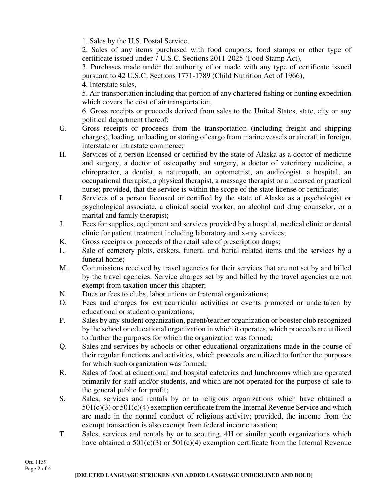1. Sales by the U.S. Postal Service,

2. Sales of any items purchased with food coupons, food stamps or other type of certificate issued under 7 U.S.C. Sections 2011-2025 (Food Stamp Act),

3. Purchases made under the authority of or made with any type of certificate issued pursuant to 42 U.S.C. Sections 1771-1789 (Child Nutrition Act of 1966),

4. Interstate sales,

5. Air transportation including that portion of any chartered fishing or hunting expedition which covers the cost of air transportation,

6. Gross receipts or proceeds derived from sales to the United States, state, city or any political department thereof;

- G. Gross receipts or proceeds from the transportation (including freight and shipping charges), loading, unloading or storing of cargo from marine vessels or aircraft in foreign, interstate or intrastate commerce;
- H. Services of a person licensed or certified by the state of Alaska as a doctor of medicine and surgery, a doctor of osteopathy and surgery, a doctor of veterinary medicine, a chiropractor, a dentist, a naturopath, an optometrist, an audiologist, a hospital, an occupational therapist, a physical therapist, a massage therapist or a licensed or practical nurse; provided, that the service is within the scope of the state license or certificate;
- I. Services of a person licensed or certified by the state of Alaska as a psychologist or psychological associate, a clinical social worker, an alcohol and drug counselor, or a marital and family therapist;
- J. Fees for supplies, equipment and services provided by a hospital, medical clinic or dental clinic for patient treatment including laboratory and x-ray services;
- K. Gross receipts or proceeds of the retail sale of prescription drugs;
- L. Sale of cemetery plots, caskets, funeral and burial related items and the services by a funeral home;
- M. Commissions received by travel agencies for their services that are not set by and billed by the travel agencies. Service charges set by and billed by the travel agencies are not exempt from taxation under this chapter;
- N. Dues or fees to clubs, labor unions or fraternal organizations;
- O. Fees and charges for extracurricular activities or events promoted or undertaken by educational or student organizations;
- P. Sales by any student organization, parent/teacher organization or booster club recognized by the school or educational organization in which it operates, which proceeds are utilized to further the purposes for which the organization was formed;
- Q. Sales and services by schools or other educational organizations made in the course of their regular functions and activities, which proceeds are utilized to further the purposes for which such organization was formed;
- R. Sales of food at educational and hospital cafeterias and lunchrooms which are operated primarily for staff and/or students, and which are not operated for the purpose of sale to the general public for profit;
- S. Sales, services and rentals by or to religious organizations which have obtained a  $501(c)(3)$  or  $501(c)(4)$  exemption certificate from the Internal Revenue Service and which are made in the normal conduct of religious activity; provided, the income from the exempt transaction is also exempt from federal income taxation;
- T. Sales, services and rentals by or to scouting, 4H or similar youth organizations which have obtained a  $501(c)(3)$  or  $501(c)(4)$  exemption certificate from the Internal Revenue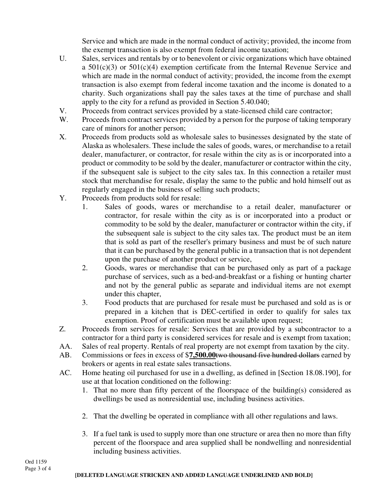Service and which are made in the normal conduct of activity; provided, the income from the exempt transaction is also exempt from federal income taxation;

- U. Sales, services and rentals by or to benevolent or civic organizations which have obtained a  $501(c)(3)$  or  $501(c)(4)$  exemption certificate from the Internal Revenue Service and which are made in the normal conduct of activity; provided, the income from the exempt transaction is also exempt from federal income taxation and the income is donated to a charity. Such organizations shall pay the sales taxes at the time of purchase and shall apply to the city for a refund as provided in Section 5.40.040;
- V. Proceeds from contract services provided by a state-licensed child care contractor;
- W. Proceeds from contract services provided by a person for the purpose of taking temporary care of minors for another person;
- X. Proceeds from products sold as wholesale sales to businesses designated by the state of Alaska as wholesalers. These include the sales of goods, wares, or merchandise to a retail dealer, manufacturer, or contractor, for resale within the city as is or incorporated into a product or commodity to be sold by the dealer, manufacturer or contractor within the city, if the subsequent sale is subject to the city sales tax. In this connection a retailer must stock that merchandise for resale, display the same to the public and hold himself out as regularly engaged in the business of selling such products;
- Y. Proceeds from products sold for resale:
	- 1. Sales of goods, wares or merchandise to a retail dealer, manufacturer or contractor, for resale within the city as is or incorporated into a product or commodity to be sold by the dealer, manufacturer or contractor within the city, if the subsequent sale is subject to the city sales tax. The product must be an item that is sold as part of the reseller's primary business and must be of such nature that it can be purchased by the general public in a transaction that is not dependent upon the purchase of another product or service,
	- 2. Goods, wares or merchandise that can be purchased only as part of a package purchase of services, such as a bed-and-breakfast or a fishing or hunting charter and not by the general public as separate and individual items are not exempt under this chapter,
	- 3. Food products that are purchased for resale must be purchased and sold as is or prepared in a kitchen that is DEC-certified in order to qualify for sales tax exemption. Proof of certification must be available upon request;
- Z. Proceeds from services for resale: Services that are provided by a subcontractor to a contractor for a third party is considered services for resale and is exempt from taxation;
- AA. Sales of real property. Rentals of real property are not exempt from taxation by the city.
- AB. Commissions or fees in excess of \$**7,500.00**two thousand five hundred dollars earned by brokers or agents in real estate sales transactions.
- AC. Home heating oil purchased for use in a dwelling, as defined in [Section 18.08.190], for use at that location conditioned on the following:
	- 1. That no more than fifty percent of the floorspace of the building(s) considered as dwellings be used as nonresidential use, including business activities.
	- 2. That the dwelling be operated in compliance with all other regulations and laws.
	- 3. If a fuel tank is used to supply more than one structure or area then no more than fifty percent of the floorspace and area supplied shall be nondwelling and nonresidential including business activities.